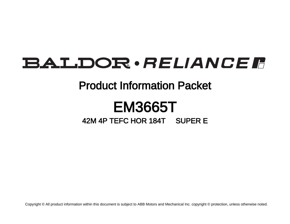## BALDOR · RELIANCE F

## Product Information Packet

# EM3665T

## 42M 4P TEFC HOR 184T SUPER E

Copyright © All product information within this document is subject to ABB Motors and Mechanical Inc. copyright © protection, unless otherwise noted.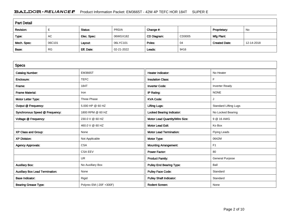### BALDOR · RELIANCE FRIMED Product Information Packet: EM3665T - 42M 4P TEFC HOR 184T SUPER E

| <b>Part Detail</b> |           |             |            |             |        |                      |            |  |
|--------------------|-----------|-------------|------------|-------------|--------|----------------------|------------|--|
| Revision:          |           | Status:     | PRD/A      | Change #:   |        | Proprietary:         | No         |  |
| Type:              | AC        | Elec. Spec: | 06WGX182   | CD Diagram: | CD0005 | Mfg Plant:           |            |  |
| Mech. Spec:        | 06C101    | Layout:     | 06LYC101   | Poles:      | 04     | <b>Created Date:</b> | 12-14-2018 |  |
| Base:              | <b>RG</b> | Eff. Date:  | 02-21-2022 | Leads:      | 9#16   |                      |            |  |

| <b>Specs</b>                           |                         |                                  |                              |
|----------------------------------------|-------------------------|----------------------------------|------------------------------|
| <b>Catalog Number:</b>                 | EM3665T                 | <b>Heater Indicator:</b>         | No Heater                    |
| Enclosure:                             | <b>TEFC</b>             | <b>Insulation Class:</b>         | F                            |
| Frame:                                 | 184T                    | <b>Inverter Code:</b>            | <b>Inverter Ready</b>        |
| <b>Frame Material:</b>                 | Iron                    | IP Rating:                       | <b>NONE</b>                  |
| Motor Letter Type:                     | Three Phase             | <b>KVA Code:</b>                 |                              |
| Output @ Frequency:                    | 5.000 HP @ 60 HZ        | <b>Lifting Lugs:</b>             | <b>Standard Lifting Lugs</b> |
| Synchronous Speed @ Frequency:         | 1800 RPM @ 60 HZ        | <b>Locked Bearing Indicator:</b> | No Locked Bearing            |
| Voltage @ Frequency:                   | 230.0 V @ 60 HZ         | Motor Lead Quantity/Wire Size:   | 9 @ 16 AWG                   |
|                                        | 460.0 V @ 60 HZ         | <b>Motor Lead Exit:</b>          | Ko Box                       |
| XP Class and Group:                    | None                    | <b>Motor Lead Termination:</b>   | <b>Flying Leads</b>          |
| <b>XP Division:</b>                    | Not Applicable          | Motor Type:                      | 0642M                        |
| <b>Agency Approvals:</b>               | <b>CSA</b>              | <b>Mounting Arrangement:</b>     | F <sub>1</sub>               |
|                                        | <b>CSA EEV</b>          | <b>Power Factor:</b>             | 80                           |
|                                        | UR                      | <b>Product Family:</b>           | General Purpose              |
| <b>Auxillary Box:</b>                  | No Auxillary Box        | <b>Pulley End Bearing Type:</b>  | Ball                         |
| <b>Auxillary Box Lead Termination:</b> | None                    | <b>Pulley Face Code:</b>         | Standard                     |
| <b>Base Indicator:</b>                 | Rigid                   | <b>Pulley Shaft Indicator:</b>   | Standard                     |
| <b>Bearing Grease Type:</b>            | Polyrex EM (-20F +300F) | <b>Rodent Screen:</b>            | None                         |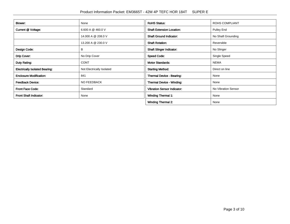| Blower:                               | None                      | <b>RoHS Status:</b>                | <b>ROHS COMPLIANT</b> |
|---------------------------------------|---------------------------|------------------------------------|-----------------------|
| Current @ Voltage:                    | 6.600 A @ 460.0 V         | <b>Shaft Extension Location:</b>   | Pulley End            |
|                                       | 14.000 A @ 208.0 V        | <b>Shaft Ground Indicator:</b>     | No Shaft Grounding    |
|                                       | 13.200 A @ 230.0 V        | <b>Shaft Rotation:</b>             | Reversible            |
| Design Code:                          | В                         | <b>Shaft Slinger Indicator:</b>    | No Slinger            |
| Drip Cover:                           | No Drip Cover             | <b>Speed Code:</b>                 | Single Speed          |
| Duty Rating:                          | <b>CONT</b>               | <b>Motor Standards:</b>            | <b>NEMA</b>           |
| <b>Electrically Isolated Bearing:</b> | Not Electrically Isolated | <b>Starting Method:</b>            | Direct on line        |
| <b>Enclosure Modification:</b>        | 841                       | Thermal Device - Bearing:          | None                  |
| <b>Feedback Device:</b>               | NO FEEDBACK               | Thermal Device - Winding:          | None                  |
| <b>Front Face Code:</b>               | Standard                  | <b>Vibration Sensor Indicator:</b> | No Vibration Sensor   |
| <b>Front Shaft Indicator:</b>         | None                      | <b>Winding Thermal 1:</b>          | None                  |
|                                       |                           | <b>Winding Thermal 2:</b>          | None                  |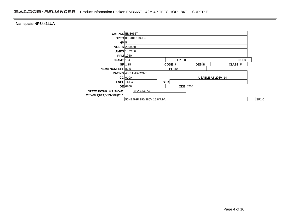| Nameplate NP3441LUA        |                                             |       |
|----------------------------|---------------------------------------------|-------|
|                            | <b>CAT.NO. EM3665T</b>                      |       |
|                            | SPEC 06C101X182G9                           |       |
| HP 5                       |                                             |       |
|                            | <b>VOLTS</b> 230/460                        |       |
|                            | AMPS 13.2/6.6                               |       |
|                            | <b>RPM</b> 1750                             |       |
| FRAME 184T                 | $HZ$ 60<br>PH 3                             |       |
|                            | DES B<br>$SF$ 1.15<br>CODE J<br>$CLASS$ $F$ |       |
| NEMA NOM. EFF 89.5         | PF 80                                       |       |
|                            | RATING 40C AMB-CONT                         |       |
|                            | USABLE AT 208V 14<br>$CC$ 010A              |       |
|                            | <b>ENCL</b> TEFC<br>SER                     |       |
|                            | <b>ODE</b> 6205<br>$DE$ 6206                |       |
| <b>VPWM INVERTER READY</b> | SFA 14.6/7.3                                |       |
| CT6-60H(10:1)VT3-60H(20:1  |                                             |       |
|                            | 50HZ 5HP 190/380V 15.8/7.9A                 | SF1.0 |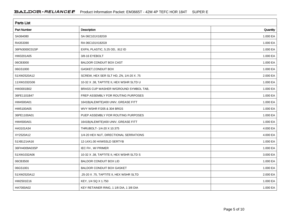| <b>Parts List</b>  |                                          |          |  |  |  |
|--------------------|------------------------------------------|----------|--|--|--|
| <b>Part Number</b> | Description                              | Quantity |  |  |  |
| SA364080           | SA 06C101X182G9                          | 1.000 EA |  |  |  |
| RA353390           | RA 06C101X182G9                          | 1.000 EA |  |  |  |
| 36FN3000C01SP      | EXFN, PLASTIC, 5.25 OD, .912 ID          | 1.000 EA |  |  |  |
| HW3201A05          | 3/8-16 EYEBOLT                           | 1.000 EA |  |  |  |
| 06CB3000           | BALDOR CONDUIT BOX CAST                  | 1.000 EA |  |  |  |
| 06GS1000           | GASKET, CONDUIT BOX                      | 1.000 EA |  |  |  |
| 51XW2520A12        | SCREW, HEX SER SLT HD, ZN, 1/4-20 X .75  | 2.000 EA |  |  |  |
| 11XW1032G06        | 10-32 X .38, TAPTITE II, HEX WSHR SLTD U | 1.000 EA |  |  |  |
| HW3001B02          | BRASS CUP WASHER W/GROUND SYMBOL TAB,    | 1.000 EA |  |  |  |
| 36FE1101B47        | FREP ASSEMBLY FOR ROUTING PURPOSES       | 1.000 EA |  |  |  |
| HW4500A01          | 1641B(ALEMITE)400 UNIV, GREASE FITT      | 1.000 EA |  |  |  |
| HW5100A05          | WVY WSHR F/205 & 304 BRGS                | 1.000 EA |  |  |  |
| 36PE1100A01        | PUEP ASSEMBLY FOR ROUTING PURPOSES       | 1.000 EA |  |  |  |
| HW4500A01          | 1641B(ALEMITE)400 UNIV, GREASE FITT      | 1.000 EA |  |  |  |
| HA3101A34          | THRUBOLT- 1/4-20 X 10.375                | 4.000 EA |  |  |  |
| XY2520A12          | 1/4-20 HEX NUT, DIRECTIONAL SERRATIONS   | 4.000 EA |  |  |  |
| 51XB1214A16        | 12-14X1.00 HXWSSLD SERTYB                | 1.000 EA |  |  |  |
| 36FH4009A03SP      | IEC FH, W/ PRIMER                        | 1.000 EA |  |  |  |
| 51XW1032A06        | 10-32 X .38, TAPTITE II, HEX WSHR SLTD S | 3.000 EA |  |  |  |
| 06CB3500           | <b>BALDOR CONDUIT BOX LID</b>            | 1.000 EA |  |  |  |
| 06GS1001           | <b>BALDOR CONDUIT BOX GASKET</b>         | 1.000 EA |  |  |  |
| 51XW2520A12        | .25-20 X .75, TAPTITE II, HEX WSHR SLTD  | 2.000 EA |  |  |  |
| HW2501E16          | KEY, 1/4 SQ X 1.750                      | 1.000 EA |  |  |  |
| HA7000A02          | KEY RETAINER RING, 1 1/8 DIA, 1 3/8 DIA  | 1.000 EA |  |  |  |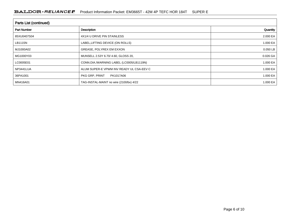| Parts List (continued) |                                          |              |  |  |  |  |
|------------------------|------------------------------------------|--------------|--|--|--|--|
| <b>Part Number</b>     | Description                              | Quantity     |  |  |  |  |
| 85XU0407S04            | 4X1/4 U DRIVE PIN STAINLESS              | 2.000 EA     |  |  |  |  |
| LB1115N                | LABEL, LIFTING DEVICE (ON ROLLS)         | 1.000 EA     |  |  |  |  |
| MJ1000A02              | GREASE, POLYREX EM EXXON                 | 0.050 LB     |  |  |  |  |
| MG1000Y03              | MUNSELL 2.53Y 6.70/ 4.60, GLOSS 20,      | 0.026 GA     |  |  |  |  |
| LC0005E01              | CONN.DIA./WARNING LABEL (LC0005/LB1119N) | 1.000 EA     |  |  |  |  |
| NP3441LUA              | ALUM SUPER-E VPWM INV READY UL CSA-EEV C | 1.000 EA     |  |  |  |  |
| 36PA1001               | PKG GRP, PRINT<br>PK1017A06              | 1.000 EA     |  |  |  |  |
| MN416A01               | TAG-INSTAL-MAINT no wire (2100/bx) 4/22  | 1.000 EA $ $ |  |  |  |  |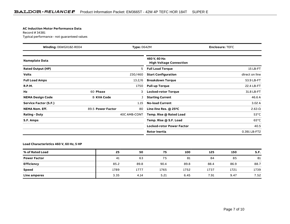#### **AC Induction Motor Performance Data**

Record # 34381Typical performance - not guaranteed values

| <b>Winding: 06WGX182-R004</b><br><b>Type: 0642M</b> |                   | <b>Enclosure: TEFC</b> |                                                 |                |
|-----------------------------------------------------|-------------------|------------------------|-------------------------------------------------|----------------|
| <b>Nameplate Data</b>                               |                   |                        | 460 V, 60 Hz:<br><b>High Voltage Connection</b> |                |
| <b>Rated Output (HP)</b>                            |                   | 5                      | <b>Full Load Torque</b>                         | 15 LB-FT       |
| <b>Volts</b>                                        |                   | 230/460                | <b>Start Configuration</b>                      | direct on line |
| <b>Full Load Amps</b>                               |                   | 13.2/6                 | <b>Breakdown Torque</b>                         | 53.9 LB-FT     |
| <b>R.P.M.</b>                                       |                   | 1750                   | <b>Pull-up Torque</b>                           | 22.4 LB-FT     |
| Hz                                                  | 60 Phase          | 3                      | <b>Locked-rotor Torque</b>                      | 31.8 LB-FT     |
| <b>NEMA Design Code</b>                             | <b>B KVA Code</b> |                        | <b>Starting Current</b>                         | 46.6 A         |
| Service Factor (S.F.)                               |                   | 1.15                   | <b>No-load Current</b>                          | 3.02A          |
| <b>NEMA Nom. Eff.</b>                               | 89.5 Power Factor | 80                     | Line-line Res. @ 25°C                           | $2.63 \Omega$  |
| <b>Rating - Duty</b>                                |                   | 40C AMB-CONT           | Temp. Rise @ Rated Load                         | $53^{\circ}$ C |
| S.F. Amps                                           |                   |                        | Temp. Rise @ S.F. Load                          | $65^{\circ}$ C |
|                                                     |                   |                        | <b>Locked-rotor Power Factor</b>                | 40.5           |
|                                                     |                   |                        | <b>Rotor inertia</b>                            | 0.391 LB-FT2   |

### **Load Characteristics 460 V, 60 Hz, 5 HP**

| % of Rated Load     | 25   | 50   | 75   | 100  | 125  | 150  | S.F. |
|---------------------|------|------|------|------|------|------|------|
| <b>Power Factor</b> | 41   | 63   | 75   | 81   | 84   | 85   | 81   |
| <b>Efficiency</b>   | 85.2 | 89.8 | 90.4 | 89.8 | 88.4 | 86.9 | 88.7 |
| <b>Speed</b>        | 1789 | 1777 | 1765 | 1752 | 1737 | 1721 | 1739 |
| Line amperes        | 3.35 | 4.14 | 5.21 | 6.45 | 7.91 | 9.47 | 7.52 |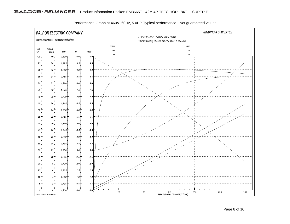

Performance Graph at 460V, 60Hz, 5.0HP Typical performance - Not guaranteed values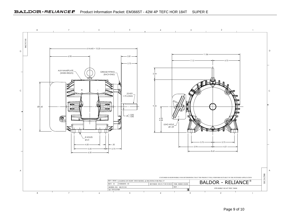